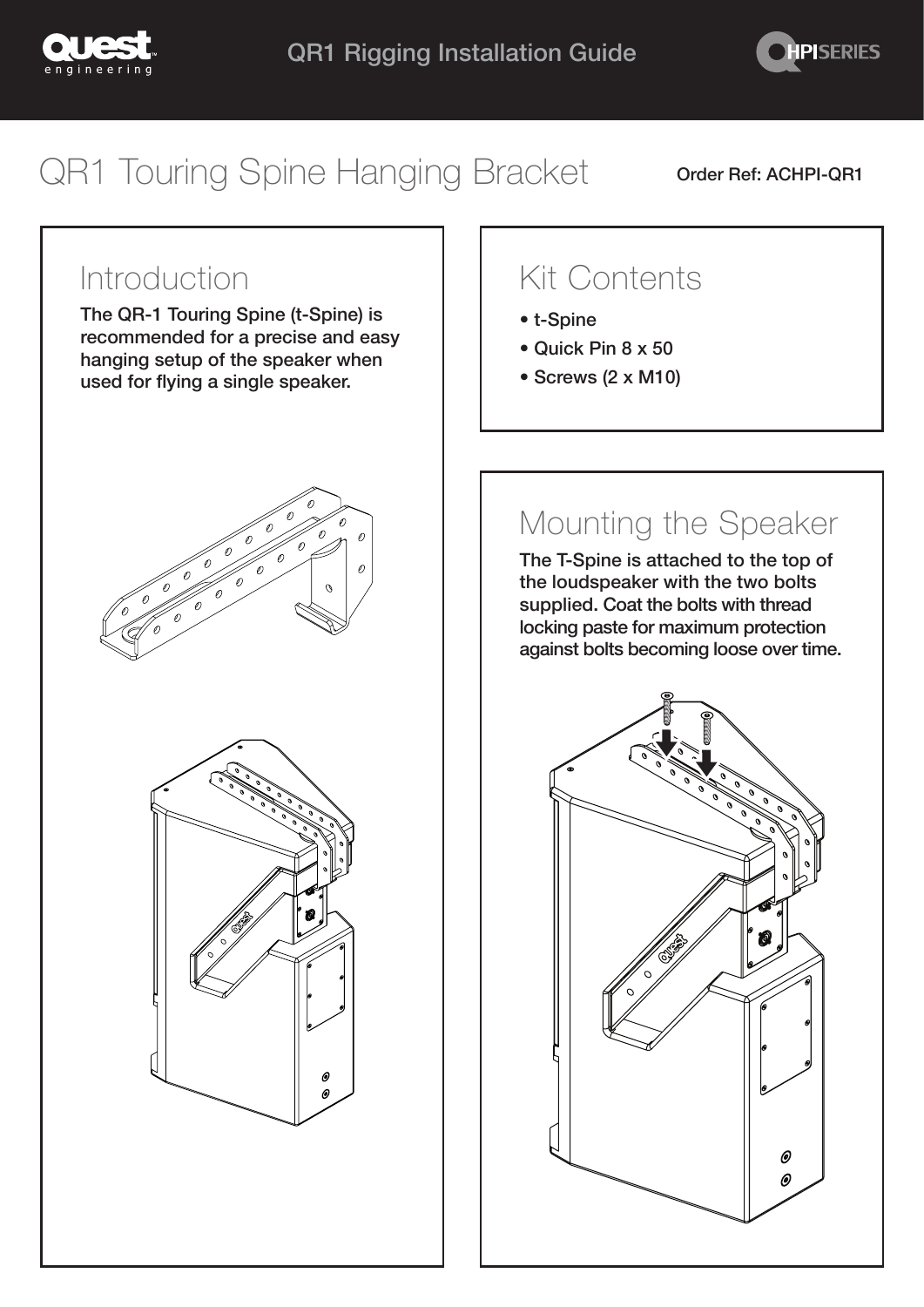



# QR1 Touring Spine Hanging Bracket order Ref: ACHPI-QR1

#### Introduction

The QR-1 Touring Spine (t-Spine) is recommended for a precise and easy hanging setup of the speaker when used for flying a single speaker.





## Kit Contents

- t-Spine
- Quick Pin 8 x 50
- Screws (2 x M10)

## Mounting the Speaker

The T-Spine is attached to the top of the loudspeaker with the two bolts supplied. Coat the bolts with thread locking paste for maximum protection against bolts becoming loose over time.

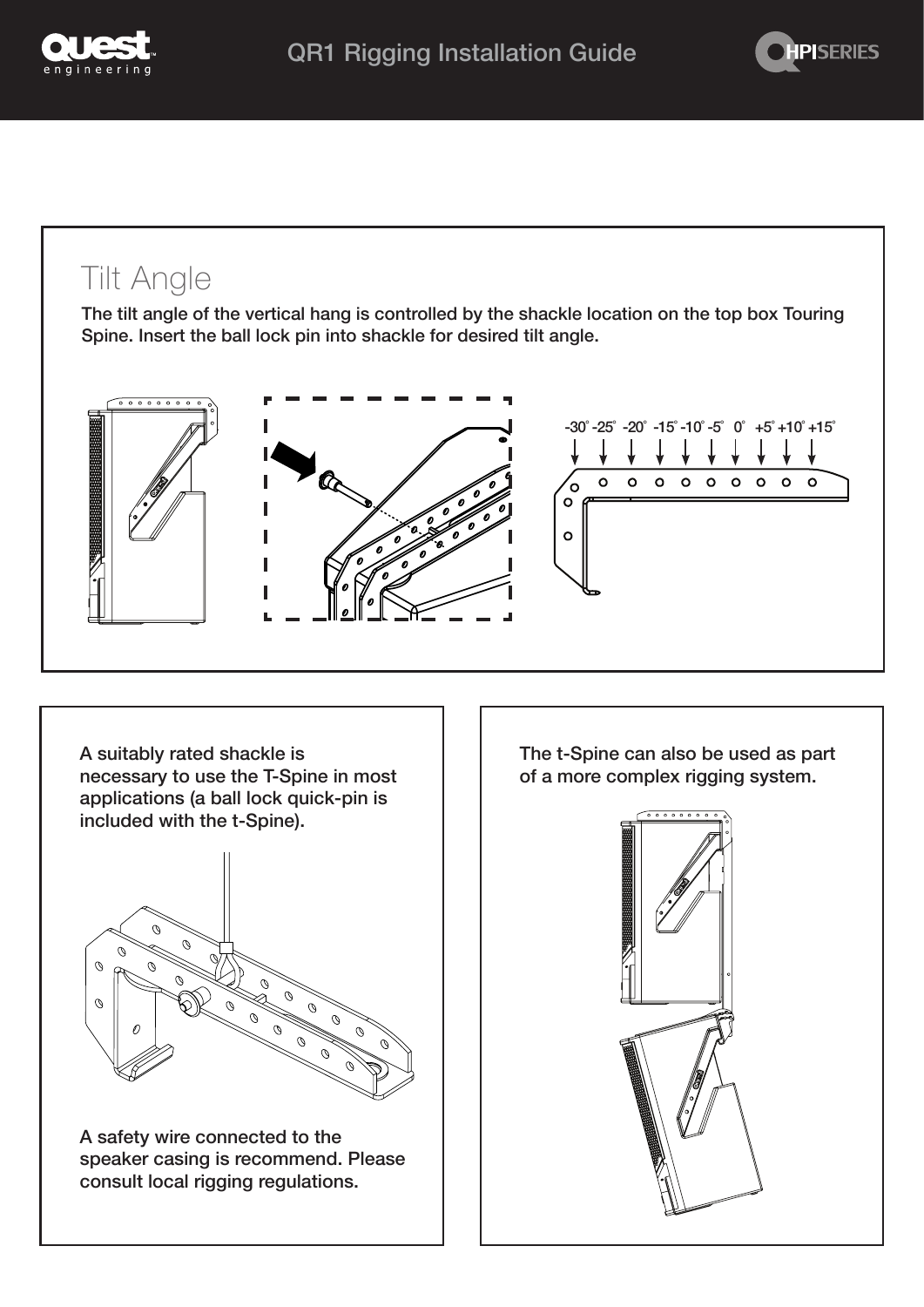



#### Tilt Angle

The tilt angle of the vertical hang is controlled by the shackle location on the top box Touring Spine. Insert the ball lock pin into shackle for desired tilt angle.







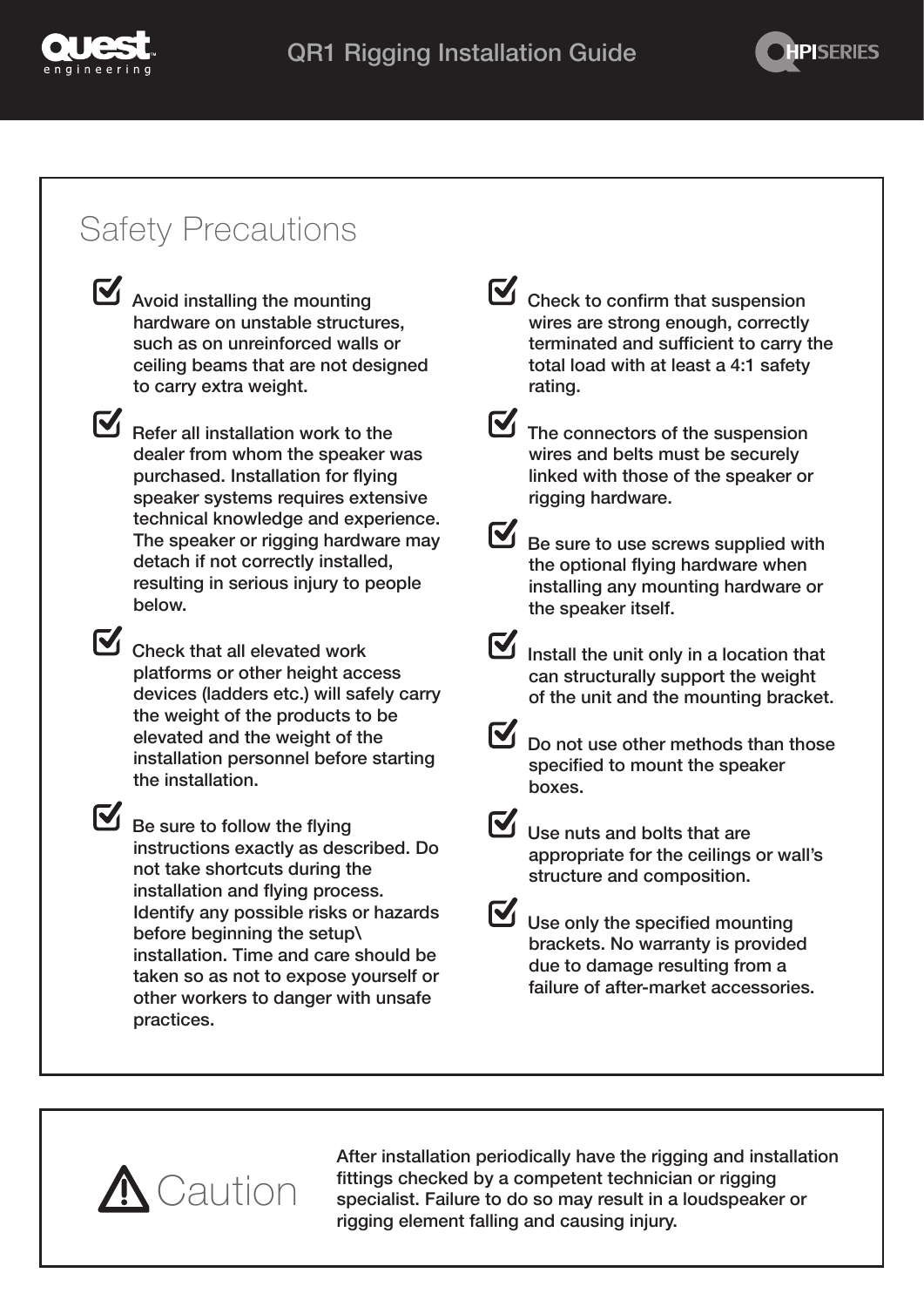



### Safety Precautions



Avoid installing the mounting hardware on unstable structures, such as on unreinforced walls or ceiling beams that are not designed to carry extra weight.

Refer all installation work to the dealer from whom the speaker was purchased. Installation for flying speaker systems requires extensive technical knowledge and experience. The speaker or rigging hardware may detach if not correctly installed, resulting in serious injury to people below.

Check that all elevated work platforms or other height access devices (ladders etc.) will safely carry the weight of the products to be elevated and the weight of the installation personnel before starting the installation.

Be sure to follow the flying instructions exactly as described. Do not take shortcuts during the installation and flying process. Identify any possible risks or hazards before beginning the setup\ installation. Time and care should be taken so as not to expose yourself or other workers to danger with unsafe practices.

 $\mathbf X$  Check to confirm that suspension wires are strong enough, correctly terminated and sufficient to carry the total load with at least a 4:1 safety rating.

 $\mathbf \Xi$  The connectors of the suspension wires and belts must be securely linked with those of the speaker or rigging hardware.

Be sure to use screws supplied with the optional flying hardware when installing any mounting hardware or the speaker itself.

 $\mathbf \Xi$  Install the unit only in a location that can structurally support the weight of the unit and the mounting bracket.

M Do not use other methods than those specified to mount the speaker boxes.

 $\mathbf N$  Use nuts and bolts that are appropriate for the ceilings or wall's structure and composition.

Use only the specified mounting brackets. No warranty is provided due to damage resulting from a failure of after-market accessories.



After installation periodically have the rigging and installation fittings checked by a competent technician or rigging specialist. Failure to do so may result in a loudspeaker or rigging element falling and causing injury.